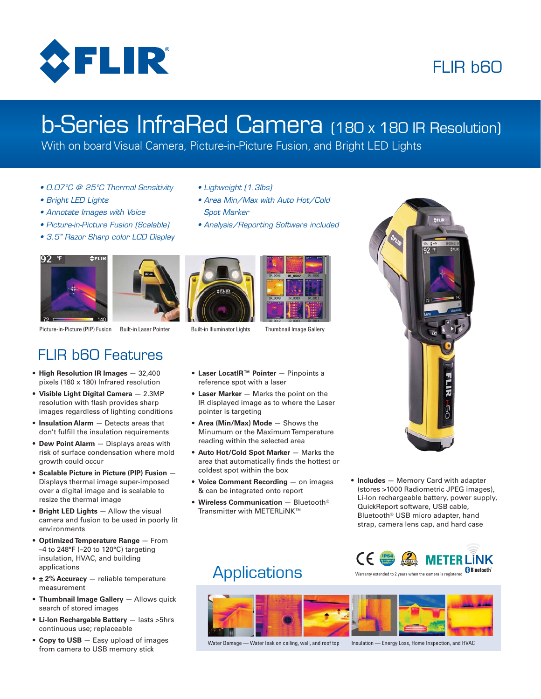

# FLIR **b60**

# b-Series InfraRed Camera (180 x 180 IR Resolution)

• Area Min/Max with Auto Hot/Cold

• Analysis/Reporting Software included

With on board Visual Camera, Picture-in-Picture Fusion, and Bright LED Lights

• Lighweight (1.3lbs)

Spot Marker

- 0.07°C @ 25°C Thermal Sensitivity
- Bright LED Lights
- Annotate Images with Voice
- Picture-in-Picture Fusion (Scalable)
- 3.5" Razor Sharp color LCD Display











- **Laser LocatIR™ Pointer**  Pinpoints a reference spot with a laser
- **Laser Marker**  Marks the point on the IR displayed image as to where the Laser pointer is targeting
- **Area (Min/Max) Mode**  Shows the Minumum or the Maximum Temperature reading within the selected area
- **Auto Hot/Cold Spot Marker**  Marks the area that automatically finds the hottest or coldest spot within the box
- **Voice Comment Recording**  on images & can be integrated onto report
- **Wireless Communication** Bluetooth® Transmitter with METERLiNK™



• **Includes** — Memory Card with adapter (stores >1000 Radiometric JPEG images), Li-Ion rechargeable battery, power supply, QuickReport software, USB cable, Bluetooth® USB micro adapter, hand strap, camera lens cap, and hard case



Water Damage — Water leak on ceiling, wall, and roof top Insulation — Energy Loss, Home Inspection, and HVAC

## FLIR b60 Features

- **High Resolution IR Images**  32,400 pixels (180 x 180) Infrared resolution
- **Visible Light Digital Camera**  2.3MP resolution with flash provides sharp images regardless of lighting conditions
- **Insulation Alarm**  Detects areas that don't fulfill the insulation requirements
- **Dew Point Alarm**  Displays areas with risk of surface condensation where mold growth could occur
- **Scalable Picture in Picture (PIP) Fusion**  Displays thermal image super-imposed over a digital image and is scalable to resize the thermal image
- **Bright LED Lights**  Allow the visual camera and fusion to be used in poorly lit environments
- **Optimized Temperature Range**  From –4 to 248°F (–20 to 120°C) targeting insulation, HVAC, and building applications
- **± 2% Accuracy**  reliable temperature measurement
- **Thumbnail Image Gallery** Allows quick search of stored images
- **Li-Ion Rechargable Battery** lasts >5hrs continuous use; replaceable
- **Copy to USB** Easy upload of images from camera to USB memory stick